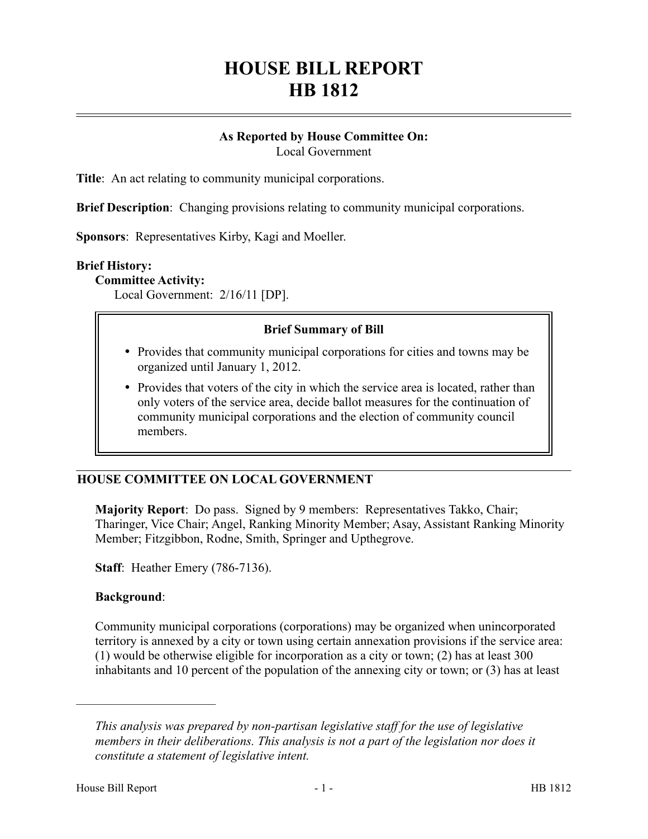## **HOUSE BILL REPORT HB 1812**

# **As Reported by House Committee On:**

Local Government

**Title**: An act relating to community municipal corporations.

**Brief Description**: Changing provisions relating to community municipal corporations.

**Sponsors**: Representatives Kirby, Kagi and Moeller.

#### **Brief History:**

#### **Committee Activity:**

Local Government: 2/16/11 [DP].

## **Brief Summary of Bill**

- Provides that community municipal corporations for cities and towns may be organized until January 1, 2012.
- Provides that voters of the city in which the service area is located, rather than only voters of the service area, decide ballot measures for the continuation of community municipal corporations and the election of community council members.

## **HOUSE COMMITTEE ON LOCAL GOVERNMENT**

**Majority Report**: Do pass. Signed by 9 members: Representatives Takko, Chair; Tharinger, Vice Chair; Angel, Ranking Minority Member; Asay, Assistant Ranking Minority Member; Fitzgibbon, Rodne, Smith, Springer and Upthegrove.

**Staff**: Heather Emery (786-7136).

#### **Background**:

––––––––––––––––––––––

Community municipal corporations (corporations) may be organized when unincorporated territory is annexed by a city or town using certain annexation provisions if the service area: (1) would be otherwise eligible for incorporation as a city or town; (2) has at least 300 inhabitants and 10 percent of the population of the annexing city or town; or (3) has at least

*This analysis was prepared by non-partisan legislative staff for the use of legislative members in their deliberations. This analysis is not a part of the legislation nor does it constitute a statement of legislative intent.*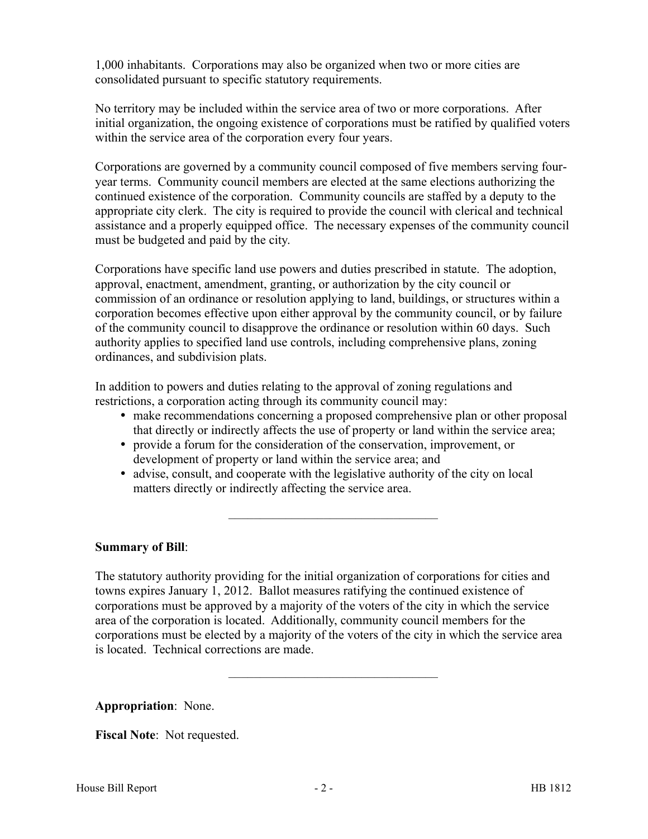1,000 inhabitants. Corporations may also be organized when two or more cities are consolidated pursuant to specific statutory requirements.

No territory may be included within the service area of two or more corporations. After initial organization, the ongoing existence of corporations must be ratified by qualified voters within the service area of the corporation every four years.

Corporations are governed by a community council composed of five members serving fouryear terms. Community council members are elected at the same elections authorizing the continued existence of the corporation. Community councils are staffed by a deputy to the appropriate city clerk. The city is required to provide the council with clerical and technical assistance and a properly equipped office. The necessary expenses of the community council must be budgeted and paid by the city.

Corporations have specific land use powers and duties prescribed in statute. The adoption, approval, enactment, amendment, granting, or authorization by the city council or commission of an ordinance or resolution applying to land, buildings, or structures within a corporation becomes effective upon either approval by the community council, or by failure of the community council to disapprove the ordinance or resolution within 60 days. Such authority applies to specified land use controls, including comprehensive plans, zoning ordinances, and subdivision plats.

In addition to powers and duties relating to the approval of zoning regulations and restrictions, a corporation acting through its community council may:

- make recommendations concerning a proposed comprehensive plan or other proposal that directly or indirectly affects the use of property or land within the service area;
- provide a forum for the consideration of the conservation, improvement, or development of property or land within the service area; and
- advise, consult, and cooperate with the legislative authority of the city on local matters directly or indirectly affecting the service area.

–––––––––––––––––––––––––––––––––

## **Summary of Bill**:

The statutory authority providing for the initial organization of corporations for cities and towns expires January 1, 2012. Ballot measures ratifying the continued existence of corporations must be approved by a majority of the voters of the city in which the service area of the corporation is located. Additionally, community council members for the corporations must be elected by a majority of the voters of the city in which the service area is located. Technical corrections are made.

–––––––––––––––––––––––––––––––––

**Appropriation**: None.

**Fiscal Note**: Not requested.